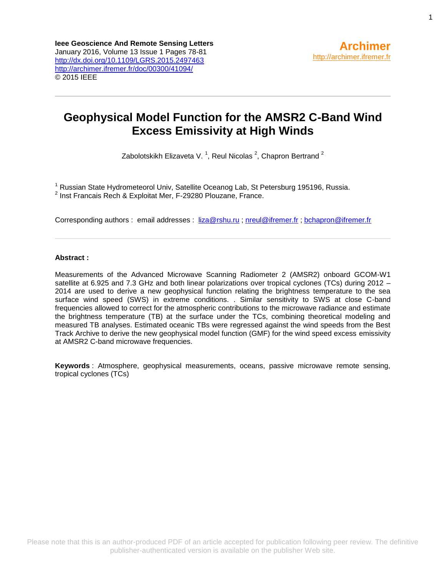# **Geophysical Model Function for the AMSR2 C-Band Wind Excess Emissivity at High Winds**

Zabolotskikh Elizaveta V.<sup>1</sup>, Reul Nicolas<sup>2</sup>, Chapron Bertrand<sup>2</sup>

<sup>1</sup> Russian State Hydrometeorol Univ, Satellite Oceanog Lab, St Petersburg 195196, Russia. 2 Inst Francais Rech & Exploitat Mer, F-29280 Plouzane, France.

Corresponding authors : email addresses : [liza@rshu.ru](mailto:liza@rshu.ru) ; [nreul@ifremer.fr](mailto:nreul@ifremer.fr) [; bchapron@ifremer.fr](mailto:bchapron@ifremer.fr)

# **Abstract :**

Measurements of the Advanced Microwave Scanning Radiometer 2 (AMSR2) onboard GCOM-W1 satellite at 6.925 and 7.3 GHz and both linear polarizations over tropical cyclones (TCs) during 2012 – 2014 are used to derive a new geophysical function relating the brightness temperature to the sea surface wind speed (SWS) in extreme conditions. . Similar sensitivity to SWS at close C-band frequencies allowed to correct for the atmospheric contributions to the microwave radiance and estimate the brightness temperature (TB) at the surface under the TCs, combining theoretical modeling and measured TB analyses. Estimated oceanic TBs were regressed against the wind speeds from the Best Track Archive to derive the new geophysical model function (GMF) for the wind speed excess emissivity at AMSR2 C-band microwave frequencies.

**Keywords** : Atmosphere, geophysical measurements, oceans, passive microwave remote sensing, tropical cyclones (TCs)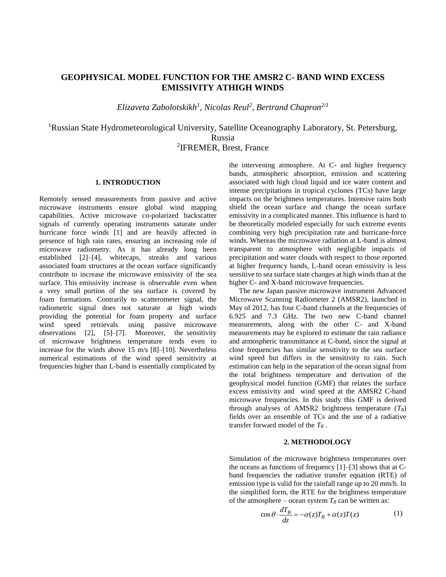# **1. INTRODUCTION**

Remotely sensed measurements from passive and active microwave instruments ensure global wind mapping capabilities. Active microwave co-polarized backscatter signals of currently operating instruments saturate under hurricane force winds [1] and are heavily affected in presence of high rain rates, ensuring an increasing role of microwave radiometry. As it has already long been established [2]–[4], whitecaps, streaks and various associated foam structures at the ocean surface significantly contribute to increase the microwave emissivity of the sea surface. This emissivity increase is observable even when a very small portion of the sea surface is covered by foam formations. Contrarily to scatterometer signal, the radiometric signal does not saturate at high winds providing the potential for foam property and surface wind speed retrievals using passive microwave observations [2], [5]–[7]. Moreover, the sensitivity of microwave brightness temperature tends even to increase for the winds above 15 m/s [8]–[10]. Nevertheless numerical estimations of the wind speed sensitivity at frequencies higher than L-band is essentially complicated by

the intervening atmosphere. At C- and higher frequency bands, atmospheric absorption, emission and scattering associated with high cloud liquid and ice water content and intense precipitations in tropical cyclones (TCs) have large impacts on the brightness temperatures. Intensive rains both shield the ocean surface and change the ocean surface emissivity in a complicated manner. This influence is hard to be theoretically modeled especially for such extreme events combining very high precipitation rate and hurricane-force winds. Whereas the microwave radiation at L-band is almost transparent to atmosphere with negligible impacts of precipitation and water clouds with respect to those reported at higher frequency bands, L-band ocean emissivity is less sensitive to sea surface state changes at high winds than at the higher C- and X-band microwave frequencies.

The new Japan passive microwave instrument Advanced Microwave Scanning Radiometer 2 (AMSR2), launched in May of 2012, has four C-band channels at the frequencies of 6.925 and 7.3 GHz. The two new C-band channel measurements, along with the other C- and X-band measurements may be explored to estimate the rain radiance and atmospheric transmittance at C-band, since the signal at close frequencies has similar sensitivity to the sea surface wind speed but differs in the sensitivity to rain. Such estimation can help in the separation of the ocean signal from the total brightness temperature and derivation of the geophysical model function (GMF) that relates the surface excess emissivity and wind speed at the AMSR2 C-band microwave frequencies. In this study this GMF is derived through analyses of AMSR2 brightness temperature (*TB*) fields over an ensemble of TCs and the use of a radiative transfer forward model of the  $T_B$ .

#### **2. METHODOLOGY**

Simulation of the microwave brightness temperatures over the oceans as functions of frequency  $[1]-[3]$  shows that at Cband frequencies the radiative transfer equation (RTE) of emission type is valid for the rainfall range up to 20 mm/h. In the simplified form, the RTE for the brightness temperature of the atmosphere – ocean system  $T_B$  can be written as:

$$
\cos \theta \cdot \frac{dT_B}{dz} = -\alpha(z)T_B + \alpha(z)T(z) \tag{1}
$$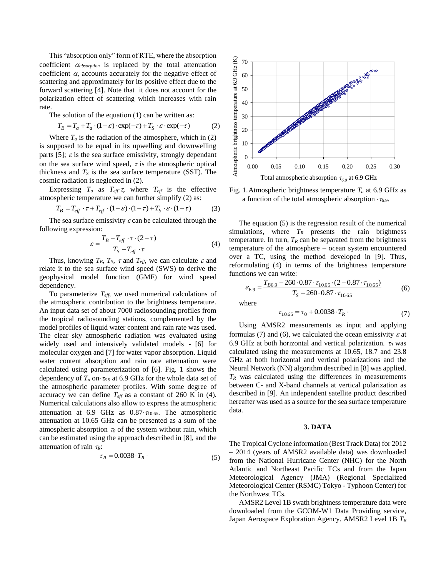This "absorption only" form of RTE, where the absorption coefficient  $\alpha_{\text{absorption}}$  is replaced by the total attenuation coefficient  $\alpha$ , accounts accurately for the negative effect of scattering and approximately for its positive effect due to the forward scattering [4]. Note that it does not account for the polarization effect of scattering which increases with rain rate.

The solution of the equation (1) can be written as:

$$
T_B = T_a + T_a \cdot (1 - \varepsilon) \cdot \exp(-\tau) + T_S \cdot \varepsilon \cdot \exp(-\tau)
$$
 (2)

Where  $T_a$  is the radiation of the atmosphere, which in  $(2)$ is supposed to be equal in its upwelling and downwelling parts [5];  $\varepsilon$  is the sea surface emissivity, strongly dependant on the sea surface wind speed,  $\tau$  is the atmospheric optical thickness and  $T<sub>S</sub>$  is the sea surface temperature (SST). The cosmic radiation is neglected in (2).

Expressing  $T_a$  as  $T_{\text{eff}} \tau$ , where  $T_{\text{eff}}$  is the effective atmospheric temperature we can further simplify (2) as:

$$
T_B = T_{\text{eff}} \cdot \tau + T_{\text{eff}} \cdot (1 - \varepsilon) \cdot (1 - \tau) + T_S \cdot \varepsilon \cdot (1 - \tau) \tag{3}
$$

The sea surface emissivity  $\varepsilon$  can be calculated through the following expression:

$$
\varepsilon = \frac{T_B - T_{\text{eff}} \cdot \tau \cdot (2 - \tau)}{T_S - T_{\text{eff}} \cdot \tau} \tag{4}
$$

Thus, knowing  $T_B$ ,  $T_S$ ,  $\tau$  and  $T_{\text{eff}}$ , we can calculate  $\varepsilon$  and relate it to the sea surface wind speed (SWS) to derive the geophysical model function (GMF) for wind speed dependency.

To parameterize *Teff*, we used numerical calculations of the atmospheric contribution to the brightness temperature. An input data set of about 7000 radiosounding profiles from the tropical radiosounding stations, complemented by the model profiles of liquid water content and rain rate was used. The clear sky atmospheric radiation was evaluated using widely used and intensively validated models - [6] for molecular oxygen and [7] for water vapor absorption. Liquid water content absorption and rain rate attenuation were calculated using parameterization of [6]. Fig. 1 shows the dependency of  $T_a$  on  $\tau_{6.9}$  at 6.9 GHz for the whole data set of the atmospheric parameter profiles. With some degree of accuracy we can define  $T_{\text{eff}}$  as a constant of 260 K in (4). Numerical calculations also allow to express the atmospheric attenuation at 6.9 GHz as  $0.87 \cdot \tau_{10.65}$ . The atmospheric attenuation at 10.65 GHz can be presented as a sum of the atmospheric absorption  $\tau_0$  of the system without rain, which can be estimated using the approach described in [8], and the attenuation of rain  $\tau_R$ :

$$
\tau_R = 0.0038 \cdot T_R \tag{5}
$$



Fig. 1.Atmospheric brightness temperature *T<sup>a</sup>* at 6.9 GHz as a function of the total atmospheric absorption  $\cdot \tau_{6.9}$ .

The equation (5) is the regression result of the numerical simulations, where  $T_R$  presents the rain brightness temperature. In turn,  $T_R$  can be separated from the brightness temperature of the atmosphere – ocean system encountered over a TC, using the method developed in [9]. Thus, reformulating (4) in terms of the brightness temperature functions we can write:

$$
\varepsilon_{6.9} = \frac{T_{B6.9} - 260 \cdot 0.87 \cdot \tau_{10.65} \cdot (2 - 0.87 \cdot \tau_{10.65})}{T_S - 260 \cdot 0.87 \cdot \tau_{10.65}}
$$
(6)

where

$$
\tau_{10.65} = \tau_0 + 0.0038 \cdot T_R \tag{7}
$$

Using AMSR2 measurements as input and applying formulas (7) and (6), we calculated the ocean emissivity  $\varepsilon$  at 6.9 GHz at both horizontal and vertical polarization.  $\tau_0$  was calculated using the measurements at 10.65, 18.7 and 23.8 GHz at both horizontal and vertical polarizations and the Neural Network (NN) algorithm described in [8] was applied.  $T_R$  was calculated using the differences in measurements between C- and X-band channels at vertical polarization as described in [9]. An independent satellite product described hereafter was used as a source for the sea surface temperature data.

### **3. DATA**

The Tropical Cyclone information (Best Track Data) for 2012 – 2014 (years of AMSR2 available data) was downloaded from the National Hurricane Center (NHC) for the North Atlantic and Northeast Pacific TCs and from the Japan Meteorological Agency (JMA) (Regional Specialized Meteorological Center (RSMC) Tokyo - Typhoon Center) for the Northwest TCs.

AMSR2 Level 1B swath brightness temperature data were downloaded from the GCOM-W1 Data Providing service, Japan Aerospace Exploration Agency. AMSR2 Level 1B *T<sup>B</sup>*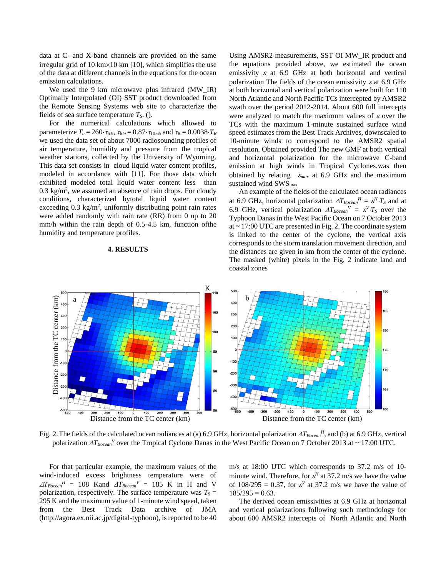data at C- and X-band channels are provided on the same irregular grid of 10 km $\times$ 10 km [10], which simplifies the use of the data at different channels in the equations for the ocean emission calculations.

We used the 9 km microwave plus infrared (MW IR) Optimally Interpolated (OI) SST product downloaded from the Remote Sensing Systems web site to characterize the fields of sea surface temperature *TS*. ().

For the numerical calculations which allowed to parameterize  $T_a = 260 \cdot \tau_{6.9}$ ,  $\tau_{6.9} = 0.87 \cdot \tau_{10.65}$  and  $\tau_R = 0.0038 \cdot T_R$ we used the data set of about 7000 radiosounding profiles of air temperature, humidity and pressure from the tropical weather stations, collected by the University of Wyoming. This data set consists in cloud liquid water content profiles, modeled in accordance with [11]. For those data which exhibited modeled total liquid water content less than  $0.3 \text{ kg/m}^2$ , we assumed an absence of rain drops. For cloudy conditions, characterized bytotal liquid water content exceeding  $0.3 \text{ kg/m}^2$ , uniformly distributing point rain rates were added randomly with rain rate (RR) from 0 up to 20 mm/h within the rain depth of 0.5-4.5 km, function ofthe humidity and temperature profiles.

#### **4. RESULTS**

Using AMSR2 measurements, SST OI MW\_IR product and the equations provided above, we estimated the ocean emissivity  $\varepsilon$  at 6.9 GHz at both horizontal and vertical polarization The fields of the ocean emissivity  $\varepsilon$  at 6.9 GHz at both horizontal and vertical polarization were built for 110 North Atlantic and North Pacific TCs intercepted by AMSR2 swath over the period 2012-2014. About 600 full intercepts were analyzed to match the maximum values of  $\varepsilon$  over the TCs with the maximum 1-minute sustained surface wind speed estimates from the Best Track Archives, downscaled to 10-minute winds to correspond to the AMSR2 spatial resolution. Obtained provided The new GMF at both vertical and horizontal polarization for the microwave C-band emission at high winds in Tropical Cyclones.was then obtained by relating  $\varepsilon_{max}$  at 6.9 GHz and the maximum sustained wind  $\text{SWS}_{\text{max}}$ 

An example of the fields of the calculated ocean radiances at 6.9 GHz, horizontal polarization  $\Delta T_{Bocean}^H = \varepsilon^H \cdot T_S$  and at 6.9 GHz, vertical polarization  $\Delta T_{Bocean}^V = \varepsilon^V \cdot T_S$  over the Typhoon Danas in the West Pacific Ocean on 7 October 2013 at  $\sim$  17:00 UTC are presented in Fig. 2. The coordinate system is linked to the center of the cyclone, the vertical axis corresponds to the storm translation movement direction, and the distances are given in km from the center of the cyclone. The masked (white) pixels in the Fig. 2 indicate land and coastal zones



Fig. 2. The fields of the calculated ocean radiances at (a) 6.9 GHz, horizontal polarization  $\Delta T_{Bocean}$ <sup>H</sup>, and (b) at 6.9 GHz, vertical polarization  $\Delta T_{Bocean}$ <sup>V</sup> over the Tropical Cyclone Danas in the West Pacific Ocean on 7 October 2013 at ~ 17:00 UTC.

For that particular example, the maximum values of the wind-induced excess brightness temperature were of  $\Delta T_{Bocean}$ <sup>*H*</sup> = 108 Kand  $\Delta T_{Bocean}$ <sup>*V*</sup> = 185 K in H and V polarization, respectively. The surface temperature was  $T<sub>S</sub>$  = 295 K and the maximum value of 1-minute wind speed, taken from the Best Track Data archive of JMA (http://agora.ex.nii.ac.jp/digital-typhoon), is reported to be 40

m/s at 18:00 UTC which corresponds to 37.2 m/s of 10 minute wind. Therefore, for  $\varepsilon^H$  at 37.2 m/s we have the value of  $108/295 = 0.37$ , for  $\varepsilon^V$  at 37.2 m/s we have the value of  $185/295 = 0.63$ .

The derived ocean emissivities at 6.9 GHz at horizontal and vertical polarizations following such methodology for about 600 AMSR2 intercepts of North Atlantic and North